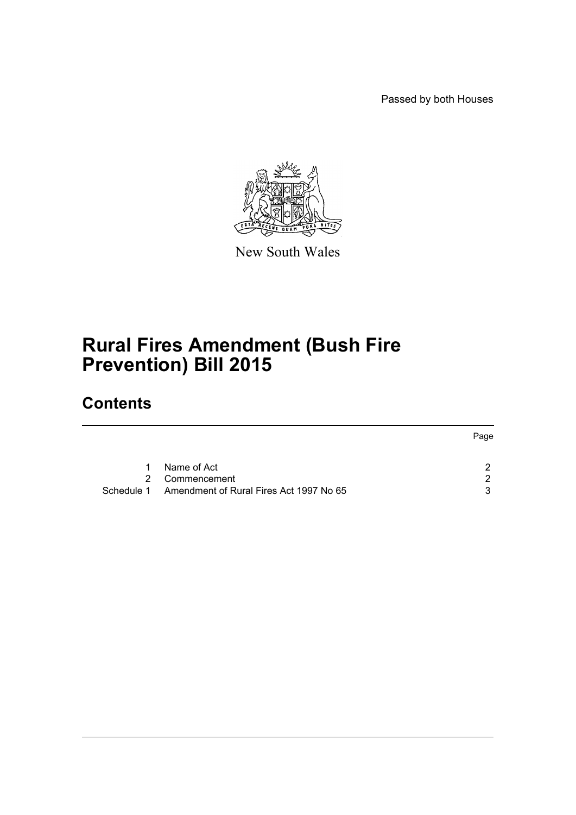Passed by both Houses



New South Wales

# **Rural Fires Amendment (Bush Fire Prevention) Bill 2015**

## **Contents**

|    |                                                    | Page |
|----|----------------------------------------------------|------|
| 1. | Name of Act                                        | າ    |
|    |                                                    |      |
|    | 2 Commencement                                     | ົາ   |
|    | Schedule 1 Amendment of Rural Fires Act 1997 No 65 | 3    |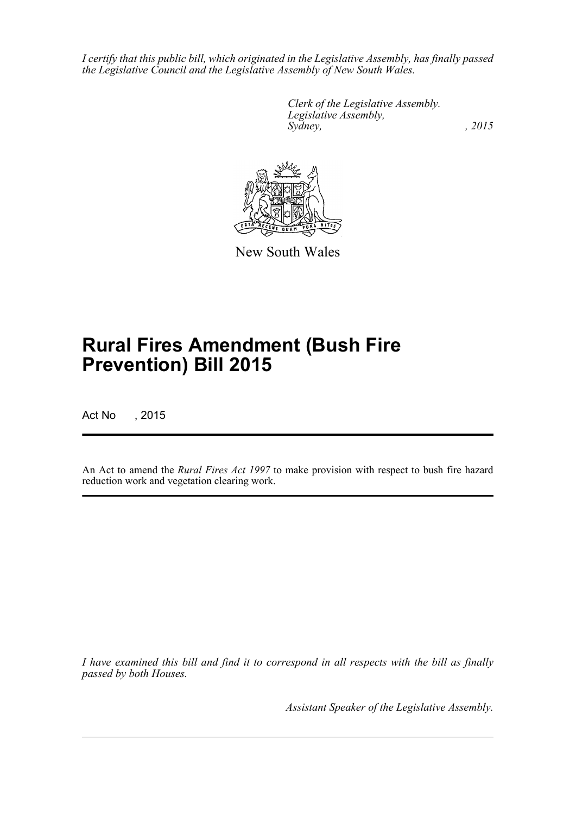*I certify that this public bill, which originated in the Legislative Assembly, has finally passed the Legislative Council and the Legislative Assembly of New South Wales.*

> *Clerk of the Legislative Assembly. Legislative Assembly, Sydney,* , 2015



New South Wales

# **Rural Fires Amendment (Bush Fire Prevention) Bill 2015**

Act No , 2015

An Act to amend the *Rural Fires Act 1997* to make provision with respect to bush fire hazard reduction work and vegetation clearing work.

*I have examined this bill and find it to correspond in all respects with the bill as finally passed by both Houses.*

*Assistant Speaker of the Legislative Assembly.*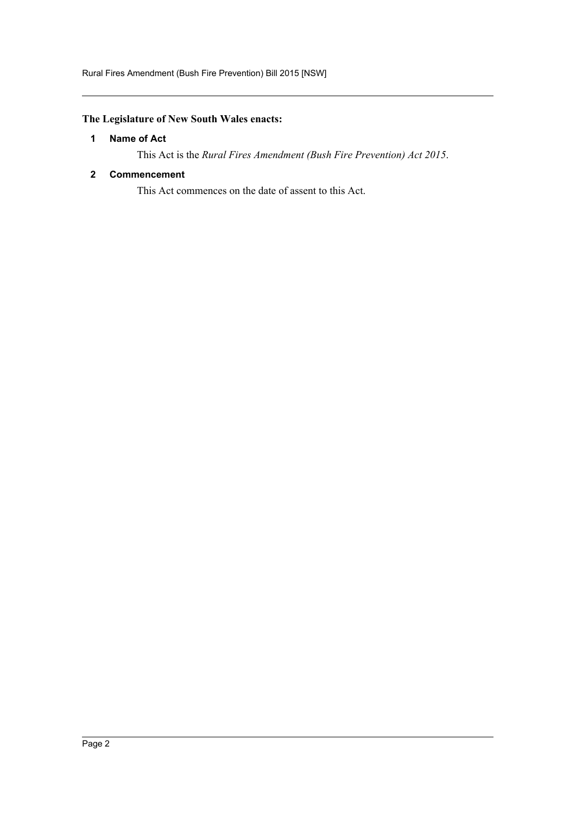### <span id="page-2-0"></span>**The Legislature of New South Wales enacts:**

### **1 Name of Act**

This Act is the *Rural Fires Amendment (Bush Fire Prevention) Act 2015*.

### <span id="page-2-1"></span>**2 Commencement**

This Act commences on the date of assent to this Act.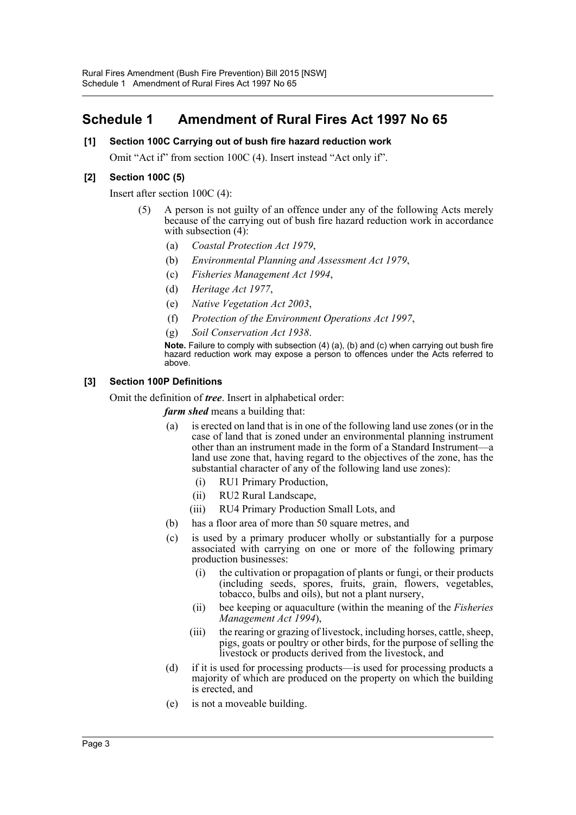### <span id="page-3-0"></span>**Schedule 1 Amendment of Rural Fires Act 1997 No 65**

### **[1] Section 100C Carrying out of bush fire hazard reduction work**

Omit "Act if" from section 100C (4). Insert instead "Act only if".

### **[2] Section 100C (5)**

Insert after section 100C (4):

- (5) A person is not guilty of an offence under any of the following Acts merely because of the carrying out of bush fire hazard reduction work in accordance with subsection  $(4)$ :
	- (a) *Coastal Protection Act 1979*,
	- (b) *Environmental Planning and Assessment Act 1979*,
	- (c) *Fisheries Management Act 1994*,
	- (d) *Heritage Act 1977*,
	- (e) *Native Vegetation Act 2003*,
	- (f) *Protection of the Environment Operations Act 1997*,
	- (g) *Soil Conservation Act 1938*.

**Note.** Failure to comply with subsection (4) (a), (b) and (c) when carrying out bush fire hazard reduction work may expose a person to offences under the Acts referred to above.

### **[3] Section 100P Definitions**

Omit the definition of *tree*. Insert in alphabetical order:

*farm shed* means a building that:

- (a) is erected on land that is in one of the following land use zones (or in the case of land that is zoned under an environmental planning instrument other than an instrument made in the form of a Standard Instrument—a land use zone that, having regard to the objectives of the zone, has the substantial character of any of the following land use zones):
	- (i) RU1 Primary Production,
	- (ii) RU2 Rural Landscape,
	- (iii) RU4 Primary Production Small Lots, and
- (b) has a floor area of more than 50 square metres, and
- (c) is used by a primary producer wholly or substantially for a purpose associated with carrying on one or more of the following primary production businesses:
	- (i) the cultivation or propagation of plants or fungi, or their products (including seeds, spores, fruits, grain, flowers, vegetables, tobacco, bulbs and oils), but not a plant nursery,
	- (ii) bee keeping or aquaculture (within the meaning of the *Fisheries Management Act 1994*),
	- (iii) the rearing or grazing of livestock, including horses, cattle, sheep, pigs, goats or poultry or other birds, for the purpose of selling the livestock or products derived from the livestock, and
- (d) if it is used for processing products—is used for processing products a majority of which are produced on the property on which the building is erected, and
- (e) is not a moveable building.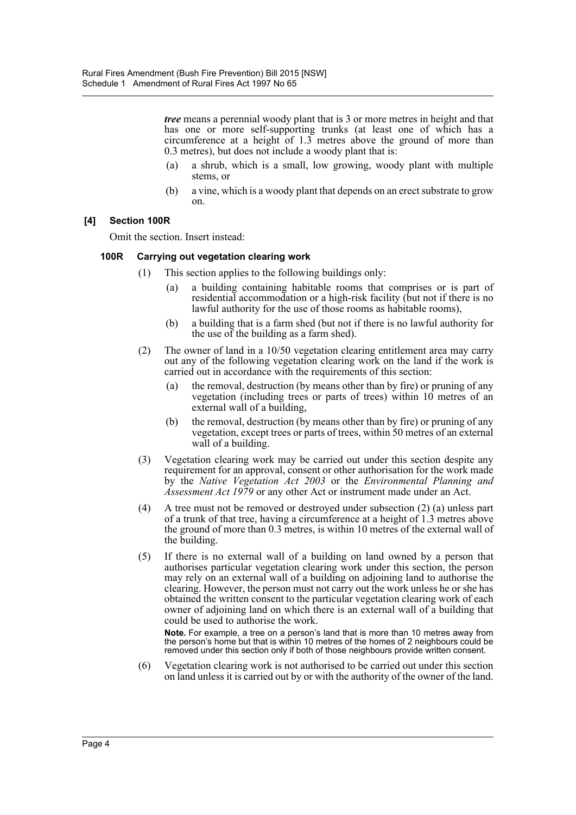*tree* means a perennial woody plant that is 3 or more metres in height and that has one or more self-supporting trunks (at least one of which has a circumference at a height of 1.3 metres above the ground of more than 0.3 metres), but does not include a woody plant that is:

- (a) a shrub, which is a small, low growing, woody plant with multiple stems, or
- (b) a vine, which is a woody plant that depends on an erect substrate to grow on.

### **[4] Section 100R**

Omit the section. Insert instead:

### **100R Carrying out vegetation clearing work**

- (1) This section applies to the following buildings only:
	- (a) a building containing habitable rooms that comprises or is part of residential accommodation or a high-risk facility (but not if there is no lawful authority for the use of those rooms as habitable rooms),
	- (b) a building that is a farm shed (but not if there is no lawful authority for the use of the building as a farm shed).
- (2) The owner of land in a 10/50 vegetation clearing entitlement area may carry out any of the following vegetation clearing work on the land if the work is carried out in accordance with the requirements of this section:
	- (a) the removal, destruction (by means other than by fire) or pruning of any vegetation (including trees or parts of trees) within 10 metres of an external wall of a building,
	- (b) the removal, destruction (by means other than by fire) or pruning of any vegetation, except trees or parts of trees, within 50 metres of an external wall of a building.
- (3) Vegetation clearing work may be carried out under this section despite any requirement for an approval, consent or other authorisation for the work made by the *Native Vegetation Act 2003* or the *Environmental Planning and Assessment Act 1979* or any other Act or instrument made under an Act.
- (4) A tree must not be removed or destroyed under subsection (2) (a) unless part of a trunk of that tree, having a circumference at a height of 1.3 metres above the ground of more than 0.3 metres, is within 10 metres of the external wall of the building.
- (5) If there is no external wall of a building on land owned by a person that authorises particular vegetation clearing work under this section, the person may rely on an external wall of a building on adjoining land to authorise the clearing. However, the person must not carry out the work unless he or she has obtained the written consent to the particular vegetation clearing work of each owner of adjoining land on which there is an external wall of a building that could be used to authorise the work.

**Note.** For example, a tree on a person's land that is more than 10 metres away from the person's home but that is within 10 metres of the homes of 2 neighbours could be removed under this section only if both of those neighbours provide written consent.

(6) Vegetation clearing work is not authorised to be carried out under this section on land unless it is carried out by or with the authority of the owner of the land.